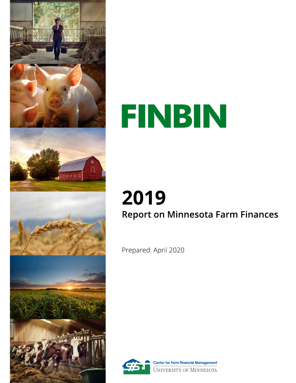

# FINBIN

# 2019 **Report on Minnesota Farm Finances**

Prepared: April 2020



**Center for Farm Financial Management UNIVERSITY OF MINNESOTA**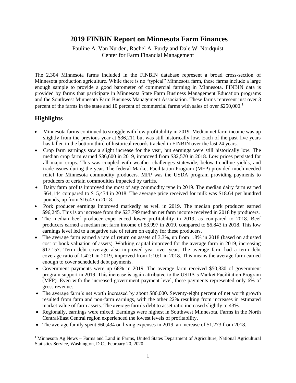# **2019 FINBIN Report on Minnesota Farm Finances**

Pauline A. Van Nurden, Rachel A. Purdy and Dale W. Nordquist Center for Farm Financial Management

The 2,304 Minnesota farms included in the FINBIN database represent a broad cross-section of Minnesota production agriculture. While there is no "typical" Minnesota farm, these farms include a large enough sample to provide a good barometer of commercial farming in Minnesota. FINBIN data is provided by farms that participate in Minnesota State Farm Business Management Education programs and the Southwest Minnesota Farm Business Management Association. These farms represent just over 3 percent of the farms in the state and 10 percent of commercial farms with sales of over \$250,000.<sup>1</sup>

# **Highlights**

- Minnesota farms continued to struggle with low profitability in 2019. Median net farm income was up slightly from the previous year at \$36,211 but was still historically low. Each of the past five years has fallen in the bottom third of historical records tracked in FINBIN over the last 24 years.
- Crop farm earnings saw a slight increase for the year, but earnings were still historically low. The median crop farm earned \$36,600 in 2019, improved from \$32,570 in 2018. Low prices persisted for all major crops. This was coupled with weather challenges statewide, below trendline yields, and trade issues during the year. The federal Market Facilitation Program (MFP) provided much needed relief for Minnesota commodity producers. MFP was the USDA program providing payments to producers of certain commodities impacted by tariffs.
- Dairy farm profits improved the most of any commodity type in 2019. The median dairy farm earned \$64,144 compared to \$15,434 in 2018. The average price received for milk was \$18.64 per hundred pounds, up from \$16.43 in 2018.
- Pork producer earnings improved markedly as well in 2019. The median pork producer earned \$96,245. This is an increase from the \$27,799 median net farm income received in 2018 by producers.
- The median beef producer experienced lower profitability in 2019, as compared to 2018. Beef producers earned a median net farm income of \$3,997 in 2019, compared to \$6,843 in 2018. This low earnings level led to a negative rate of return on equity for these producers.
- The average farm earned a rate of return on assets of 3.3%, up from 1.8% in 2018 (based on adjusted cost or book valuation of assets). Working capital improved for the average farm in 2019, increasing \$17,157. Term debt coverage also improved year over year. The average farm had a term debt coverage ratio of 1.42:1 in 2019, improved from 1:10:1 in 2018. This means the average farm earned enough to cover scheduled debt payments.
- Government payments were up 68% in 2019. The average farm received \$50,830 of government program support in 2019. This increase is again attributed to the USDA's Market Facilitation Program (MFP). Even with the increased government payment level, these payments represented only 6% of gross revenue.
- The average farm's net worth increased by about \$86,000. Seventy-eight percent of net worth growth resulted from farm and non-farm earnings, with the other 22% resulting from increases in estimated market value of farm assets. The average farm's debt to asset ratio increased slightly to 43%.
- Regionally, earnings were mixed. Earnings were highest in Southwest Minnesota. Farms in the North Central/East Central region experienced the lowest levels of profitability.
- The average family spent \$60,434 on living expenses in 2019, an increase of \$1,273 from 2018.

<sup>&</sup>lt;sup>1</sup> Minnesota Ag News – Farms and Land in Farms, United States Department of Agriculture, National Agricultural Statistics Service, Washington, D.C., February 20, 2020.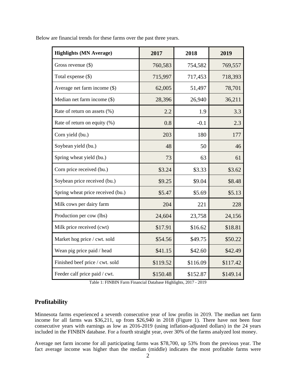| <b>Highlights (MN Average)</b>    | 2017     | 2018     | 2019     |
|-----------------------------------|----------|----------|----------|
| Gross revenue $(\$)$              | 760,583  | 754,582  | 769,557  |
| Total expense (\$)                | 715,997  | 717,453  | 718,393  |
| Average net farm income (\$)      | 62,005   | 51,497   | 78,701   |
| Median net farm income (\$)       | 28,396   | 26,940   | 36,211   |
| Rate of return on assets (%)      | 2.2      | 1.9      | 3.3      |
| Rate of return on equity (%)      | 0.8      | $-0.1$   | 2.3      |
| Corn yield (bu.)                  | 203      | 180      | 177      |
| Soybean yield (bu.)               | 48       | 50       | 46       |
| Spring wheat yield (bu.)          | 73       | 63       | 61       |
| Corn price received (bu.)         | \$3.24   | \$3.33   | \$3.62   |
| Soybean price received (bu.)      | \$9.25   | \$9.04   | \$8.48   |
| Spring wheat price received (bu.) | \$5.47   | \$5.69   | \$5.13   |
| Milk cows per dairy farm          | 204      | 221      | 228      |
| Production per cow (lbs)          | 24,604   | 23,758   | 24,156   |
| Milk price received (cwt)         | \$17.91  | \$16.62  | \$18.81  |
| Market hog price / cwt. sold      | \$54.56  | \$49.75  | \$50.22  |
| Wean pig price paid / head        | \$41.15  | \$42.60  | \$42.49  |
| Finished beef price / cwt. sold   | \$119.52 | \$116.09 | \$117.42 |
| Feeder calf price paid / cwt.     | \$150.48 | \$152.87 | \$149.14 |

Below are financial trends for these farms over the past three years.

Table 1: FINBIN Farm Financial Database Highlights, 2017 - 2019

# **Profitability**

Minnesota farms experienced a seventh consecutive year of low profits in 2019. The median net farm income for all farms was \$36,211, up from \$26,940 in 2018 (Figure 1). There have not been four consecutive years with earnings as low as 2016-2019 (using inflation-adjusted dollars) in the 24 years included in the FINBIN database. For a fourth straight year, over 30% of the farms analyzed lost money.

Average net farm income for all participating farms was \$78,700, up 53% from the previous year. The fact average income was higher than the median (middle) indicates the most profitable farms were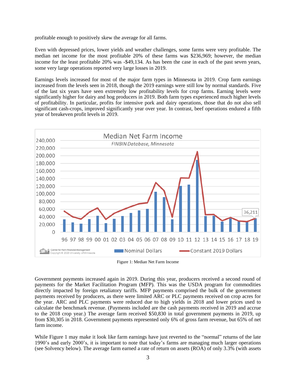profitable enough to positively skew the average for all farms.

Even with depressed prices, lower yields and weather challenges, some farms were very profitable. The median net income for the most profitable 20% of these farms was \$236,969; however, the median income for the least profitable 20% was -\$49,134. As has been the case in each of the past seven years, some very large operations reported very large losses in 2019.

Earnings levels increased for most of the major farm types in Minnesota in 2019. Crop farm earnings increased from the levels seen in 2018, though the 2019 earnings were still low by normal standards. Five of the last six years have seen extremely low profitability levels for crop farms. Earning levels were significantly higher for dairy and hog producers in 2019. Both farm types experienced much higher levels of profitability. In particular, profits for intensive pork and dairy operations, those that do not also sell significant cash-crops, improved significantly year over year. In contrast, beef operations endured a fifth year of breakeven profit levels in 2019.



Figure 1: Median Net Farm Income

Government payments increased again in 2019. During this year, producers received a second round of payments for the Market Facilitation Program (MFP). This was the USDA program for commodities directly impacted by foreign retaliatory tariffs. MFP payments comprised the bulk of the government payments received by producers, as there were limited ARC or PLC payments received on crop acres for the year. ARC and PLC payments were reduced due to high yields in 2018 and lower prices used to calculate the benchmark revenue. (Payments included are the cash payments received in 2019 and accrue to the 2018 crop year.) The average farm received \$50,830 in total government payments in 2019, up from \$30,305 in 2018. Government payments represented only 6% of gross farm revenue, but 65% of net farm income.

While Figure 1 may make it look like farm earnings have just reverted to the "normal" returns of the late 1990's and early 2000's, it is important to note that today's farms are managing much larger operations (see Solvency below). The average farm earned a rate of return on assets (ROA) of only 3.3% (with assets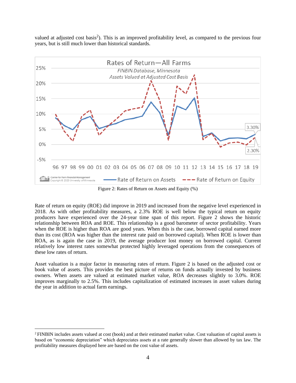valued at adjusted cost basis<sup>2</sup>). This is an improved profitability level, as compared to the previous four years, but is still much lower than historical standards.



Figure 2: Rates of Return on Assets and Equity (%)

Rate of return on equity (ROE) did improve in 2019 and increased from the negative level experienced in 2018. As with other profitability measures, a 2.3% ROE is well below the typical return on equity producers have experienced over the 24-year time span of this report. Figure 2 shows the historic relationship between ROA and ROE. This relationship is a good barometer of sector profitability. Years when the ROE is higher than ROA are good years. When this is the case, borrowed capital earned more than its cost (ROA was higher than the interest rate paid on borrowed capital). When ROE is lower than ROA, as is again the case in 2019, the average producer lost money on borrowed capital. Current relatively low interest rates somewhat protected highly leveraged operations from the consequences of these low rates of return.

Asset valuation is a major factor in measuring rates of return. Figure 2 is based on the adjusted cost or book value of assets. This provides the best picture of returns on funds actually invested by business owners. When assets are valued at estimated market value, ROA decreases slightly to 3.0%. ROE improves marginally to 2.5%. This includes capitalization of estimated increases in asset values during the year in addition to actual farm earnings.

<sup>&</sup>lt;sup>2</sup> FINBIN includes assets valued at cost (book) and at their estimated market value. Cost valuation of capital assets is based on "economic depreciation" which depreciates assets at a rate generally slower than allowed by tax law. The profitability measures displayed here are based on the cost value of assets.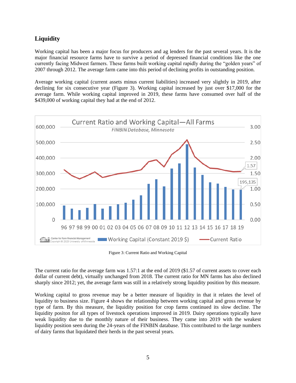# **Liquidity**

Working capital has been a major focus for producers and ag lenders for the past several years. It is the major financial resource farms have to survive a period of depressed financial conditions like the one currently facing Midwest farmers. These farms built working capital rapidly during the "golden years" of 2007 through 2012. The average farm came into this period of declining profits in outstanding position.

Average working capital (current assets minus current liabilities) increased very slightly in 2019, after declining for six consecutive year (Figure 3). Working capital increased by just over \$17,000 for the average farm. While working capital improved in 2019, these farms have consumed over half of the \$439,000 of working capital they had at the end of 2012.



Figure 3: Current Ratio and Working Capital

The current ratio for the average farm was 1.57:1 at the end of 2019 (\$1.57 of current assets to cover each dollar of current debt), virtually unchanged from 2018. The current ratio for MN farms has also declined sharply since 2012; yet, the average farm was still in a relatively strong liquidity position by this measure.

Working capital to gross revenue may be a better measure of liquidity in that it relates the level of liquidity to business size. Figure 4 shows the relationship between working capital and gross revenue by type of farm. By this measure, the liquidity position for crop farms continued its slow decline. The liquidity positon for all types of livestock operations improved in 2019. Dairy operations typically have weak liquidity due to the monthly nature of their business. They came into 2019 with the weakest liquidity position seen during the 24-years of the FINBIN database. This contributed to the large numbers of dairy farms that liquidated their herds in the past several years.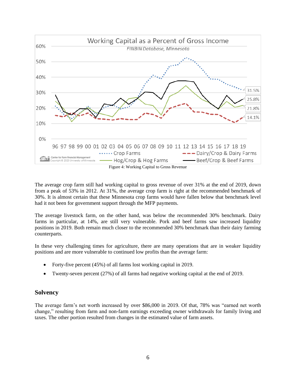

The average crop farm still had working capital to gross revenue of over 31% at the end of 2019, down from a peak of 53% in 2012. At 31%, the average crop farm is right at the recommended benchmark of 30%. It is almost certain that these Minnesota crop farms would have fallen below that benchmark level had it not been for government support through the MFP payments.

The average livestock farm, on the other hand, was below the recommended 30% benchmark. Dairy farms in particular, at 14%, are still very vulnerable. Pork and beef farms saw increased liquidity positions in 2019. Both remain much closer to the recommended 30% benchmark than their dairy farming counterparts.

In these very challenging times for agriculture, there are many operations that are in weaker liquidity positions and are more vulnerable to continued low profits than the average farm:

- Forty-five percent (45%) of all farms lost working capital in 2019.
- Twenty-seven percent (27%) of all farms had negative working capital at the end of 2019.

# **Solvency**

The average farm's net worth increased by over \$86,000 in 2019. Of that, 78% was "earned net worth change," resulting from farm and non-farm earnings exceeding owner withdrawals for family living and taxes. The other portion resulted from changes in the estimated value of farm assets.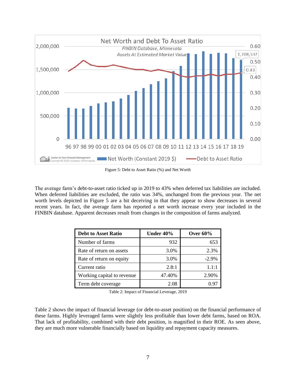

Figure 5: Debt to Asset Ratio (%) and Net Worth

The average farm's debt-to-asset ratio ticked up in 2019 to 43% when deferred tax liabilities are included. When deferred liabilities are excluded, the ratio was 34%, unchanged from the previous year. The net worth levels depicted in Figure 5 are a bit deceiving in that they appear to show decreases in several recent years. In fact, the average farm has reported a net worth increase every year included in the FINBIN database. Apparent decreases result from changes in the composition of farms analyzed.

| <b>Debt to Asset Ratio</b> | Under 40% | Over $60\%$ |
|----------------------------|-----------|-------------|
| Number of farms            | 932       | 653         |
| Rate of return on assets   | 3.0%      | 2.3%        |
| Rate of return on equity   | 3.0%      | $-2.9\%$    |
| Current ratio              | 2.8:1     | 1.1:1       |
| Working capital to revenue | 47.40%    | 2.90%       |
| Term debt coverage         | 2.08      | 0 ዓ7        |

Table 2: Impact of Financial Leverage, 2019

Table 2 shows the impact of financial leverage (or debt-to-asset position) on the financial performance of these farms. Highly leveraged farms were slightly less profitable than lower debt farms, based on ROA. That lack of profitability, combined with their debt position, is magnified in their ROE. As seen above, they are much more vulnerable financially based on liquidity and repayment capacity measures.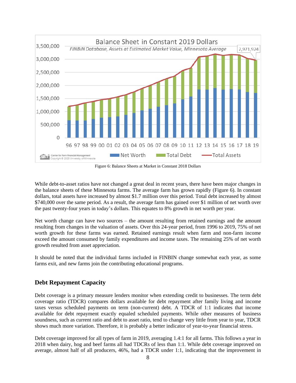

Figure 6: Balance Sheets at Market in Constant 2018 Dollars

While debt-to-asset ratios have not changed a great deal in recent years, there have been major changes in the balance sheets of these Minnesota farms. The average farm has grown rapidly (Figure 6). In constant dollars, total assets have increased by almost \$1.7 million over this period. Total debt increased by almost \$740,000 over the same period. As a result, the average farm has gained over \$1 million of net worth over the past twenty-four years in today's dollars. This equates to 8% growth in net worth per year.

Net worth change can have two sources – the amount resulting from retained earnings and the amount resulting from changes in the valuation of assets. Over this 24-year period, from 1996 to 2019, 75% of net worth growth for these farms was earned. Retained earnings result when farm and non-farm income exceed the amount consumed by family expenditures and income taxes. The remaining 25% of net worth growth resulted from asset appreciation.

It should be noted that the individual farms included in FINBIN change somewhat each year, as some farms exit, and new farms join the contributing educational programs.

# **Debt Repayment Capacity**

Debt coverage is a primary measure lenders monitor when extending credit to businesses. The term debt coverage ratio (TDCR) compares dollars available for debt repayment after family living and income taxes versus scheduled payments on term (non-current) debt. A TDCR of 1:1 indicates that income available for debt repayment exactly equaled scheduled payments. While other measures of business soundness, such as current ratio and debt to asset ratio, tend to change very little from year to year, TDCR shows much more variation. Therefore, it is probably a better indicator of year-to-year financial stress.

Debt coverage improved for all types of farm in 2019, averaging 1.4:1 for all farms. This follows a year in 2018 when dairy, hog and beef farms all had TDCRs of less than 1:1. While debt coverage improved on average, almost half of all producers, 46%, had a TDCR under 1:1, indicating that the improvement in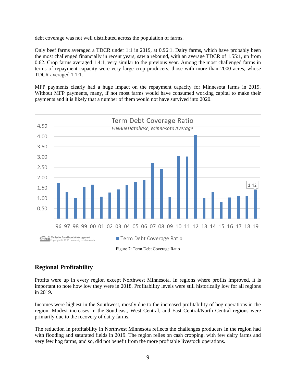debt coverage was not well distributed across the population of farms.

Only beef farms averaged a TDCR under 1:1 in 2019, at 0.96:1. Dairy farms, which have probably been the most challenged financially in recent years, saw a rebound, with an average TDCR of 1.55:1, up from 0.62. Crop farms averaged 1.4:1, very similar to the previous year. Among the most challenged farms in terms of repayment capacity were very large crop producers, those with more than 2000 acres, whose TDCR averaged 1.1:1.

MFP payments clearly had a huge impact on the repayment capacity for Minnesota farms in 2019. Without MFP payments, many, if not most farms would have consumed working capital to make their payments and it is likely that a number of them would not have survived into 2020.



Figure 7: Term Debt Coverage Ratio

# **Regional Profitability**

Profits were up in every region except Northwest Minnesota. In regions where profits improved, it is important to note how low they were in 2018. Profitability levels were still historically low for all regions in 2019.

Incomes were highest in the Southwest, mostly due to the increased profitability of hog operations in the region. Modest increases in the Southeast, West Central, and East Central/North Central regions were primarily due to the recovery of dairy farms.

The reduction in profitability in Northwest Minnesota reflects the challenges producers in the region had with flooding and saturated fields in 2019. The region relies on cash cropping, with few dairy farms and very few hog farms, and so, did not benefit from the more profitable livestock operations.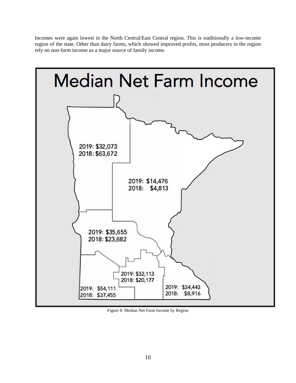Incomes were again lowest in the North Central/East Central region. This is traditionally a low-income region of the state. Other than dairy farms, which showed improved profits, most producers in the region rely on non-farm income as a major source of family income.



Figure 8: Median Net Farm Income by Region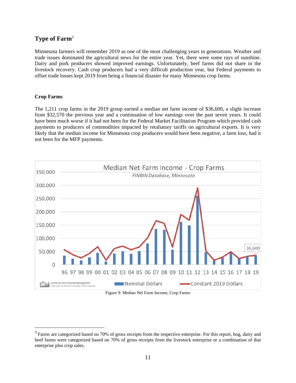# **Type of Farm**<sup>3</sup>

Minnesota farmers will remember 2019 as one of the most challenging years in generations. Weather and trade issues dominated the agricultural news for the entire year. Yet, there were some rays of sunshine. Dairy and pork producers showed improved earnings. Unfortunately, beef farms did not share in the livestock recovery. Cash crop producers had a very difficult production year, but Federal payments to offset trade losses kept 2019 from being a financial disaster for many Minnesota crop farms.

#### **Crop Farms**

The 1,211 crop farms in the 2019 group earned a median net farm income of \$36,600, a slight increase from \$32,570 the previous year and a continuation of low earnings over the past seven years. It could have been much worse if it had not been for the Federal Market Facilitation Program which provided cash payments to producers of commodities impacted by retaliatory tariffs on agricultural exports. It is very likely that the median income for Minnesota crop producers would have been negative, a farm loss, had it not been for the MFP payments.



Figure 9: Median Net Farm Income, Crop Farms

<sup>&</sup>lt;sup>3</sup> Farms are categorized based on 70% of gross receipts from the respective enterprise. For this report, hog, dairy and beef farms were categorized based on 70% of gross receipts from the livestock enterprise or a combination of that enterprise plus crop sales.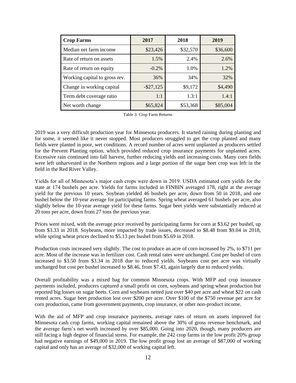| <b>Crop Farms</b>             | 2017         | 2018     | 2019     |
|-------------------------------|--------------|----------|----------|
| Median net farm income        | \$23,426     | \$32,570 | \$36,600 |
| Rate of return on assets      | 1.5%         | 2.4%     | 2.6%     |
| Rate of return on equity      | $-0.2\%$     | 1.0%     | 1.2%     |
| Working capital to gross rev. | 36%          | 34%      | 32%      |
| Change in working capital     | $-$ \$27,125 | \$9,172  | \$4,490  |
| Term debt coverage ratio      | 1:1          | 1.3:1    | 1.4:1    |
| Net worth change              | \$65,824     | \$53,368 | \$85,004 |

Table 3: Crop Farm Returns

2019 was a very difficult production year for Minnesota producers. It started raining during planting and for some, it seemed like it never stopped. Most producers struggled to get the crop planted and many fields were planted in poor, wet conditions. A record number of acres went unplanted as producers settled for the Prevent Planting option, which provided reduced crop insurance payments for unplanted acres. Excessive rain continued into fall harvest, further reducing yields and increasing costs. Many corn fields were left unharvested in the Northern regions and a large portion of the sugar beet crop was left in the field in the Red River Valley.

Yields for all of Minnesota's major cash crops were down in 2019. USDA estimated corn yields for the state at 174 bushels per acre. Yields for farms included in FINBIN averaged 178, right at the average yield for the previous 10 years. Soybean yielded 46 bushels per acre, down from 50 in 2018, and one bushel below the 10-year average for participating farms. Spring wheat averaged 61 bushels per acre, also slightly below the 10-year average yield for these farms. Sugar beet yields were substantially reduced at 20 tons per acre, down from 27 tons the previous year.

Prices were mixed, with the average price received by participating farms for corn at \$3.62 per bushel, up from \$3.33 in 2018. Soybeans, more impacted by trade issues, decreased to \$8.48 from \$9.04 in 2018, while spring wheat prices declined to \$5.13 per bushel from \$5.69 in 2018.

Production costs increased very slightly. The cost to produce an acre of corn increased by 2%, to \$711 per acre. Most of the increase was in fertilizer cost. Cash rental rates were unchanged. Cost per bushel of corn increased to \$3.50 from \$3.34 in 2018 due to reduced yields. Soybeans cost per acre was virtually unchanged but cost per bushel increased to \$8.46, from \$7.43, again largely due to reduced yields.

Overall profitability was a mixed bag for common Minnesota crops. With MFP and crop insurance payments included, producers captured a small profit on corn, soybeans and spring wheat production but reported big losses on sugar beets. Corn and soybeans netted just over \$40 per acre and wheat \$22 on cash rented acres. Sugar beet production lost over \$200 per acre. Over \$100 of the \$750 revenue per acre for corn production, came from government payments, crop insurance, or other non-product income.

With the aid of MFP and crop insurance payments, average rates of return on assets improved for Minnesota cash crop farms, working capital remained above the 30% of gross revenue benchmark, and the average farm's net worth increased by over \$85,000. Going into 2020, though, many producers are still facing a high degree of financial stress. For example, the 242 crop farms in the low profit 20% group had negative earnings of \$49,000 in 2019. The low profit group lost an average of \$87,000 of working capital and only has an average of \$32,000 of working capital left.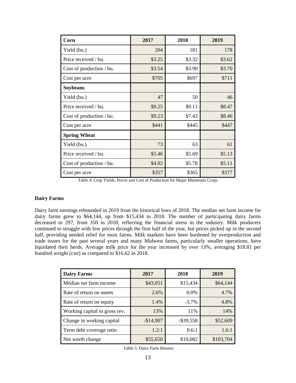| Corn                     | 2017   | 2018   | 2019   |
|--------------------------|--------|--------|--------|
| Yield (bu.)              | 204    | 181    | 178    |
| Price received / bu.     | \$3.25 | \$3.32 | \$3.62 |
| Cost of production / bu. | \$3.54 | \$3.90 | \$3.70 |
| Cost per acre            | \$705  | \$697  | \$711  |
| <b>Soybeans</b>          |        |        |        |
| Yield (bu.)              | 47     | 50     | 46     |
| Price received / bu.     | \$9.25 | \$9.11 | \$8.47 |
| Cost of production / bu. | \$9.23 | \$7.43 | \$8.46 |
| Cost per acre            | \$441  | \$445  | \$447  |
| <b>Spring Wheat</b>      |        |        |        |
| Yield (bu.)              | 73     | 63     | 61     |
| Price received / bu.     | \$5.46 | \$5.69 | \$5.13 |
| Cost of production / bu. | \$4.92 | \$5.78 | \$5.11 |
| Cost per acre            | \$357  | \$365  | \$377  |

Table 4: Crop Yields, Prices and Cost of Production for Major Minnesota Crops

#### **Dairy Farms**

Dairy farm earnings rebounded in 2019 from the historical lows of 2018. The median net farm income for dairy farms grew to \$64,144, up from \$15,434 in 2018. The number of participating dairy farms decreased to 297, from 350 in 2018, reflecting the financial stress in the industry. Milk producers continued to struggle with low prices through the first half of the year, but prices picked up in the second half, providing needed relief for most farms. Milk markets have been burdened by overproduction and trade issues for the past several years and many Midwest farms, particularly smaller operations, have liquidated their herds. Average milk price for the year increased by over 13%, averaging \$18.81 per hundred weight (cwt) as compared to \$16.62 in 2018.

| <b>Dairy Farms</b>            | 2017       | 2018         | 2019      |
|-------------------------------|------------|--------------|-----------|
| Median net farm income        | \$43,051   | \$15,434     | \$64,144  |
| Rate of return on assets      | 2.6%       | $0.0\%$      | 4.7%      |
| Rate of return on equity      | 1.4%       | $-3.7\%$     | 4.8%      |
| Working capital to gross rev. | 13%        | 11\%         | 14%       |
| Change in working capital     | $-$14,907$ | $-$ \$39,558 | \$52,609  |
| Term debt coverage ratio      | 1.2:1      | 0.6:1        | 1.6:1     |
| Net worth change              | \$55,650   | \$10,082     | \$103,704 |

Table 5: Dairy Farm Returns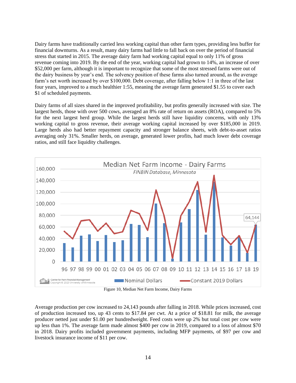Dairy farms have traditionally carried less working capital than other farm types, providing less buffer for financial downturns. As a result, many dairy farms had little to fall back on over the period of financial stress that started in 2015. The average dairy farm had working capital equal to only 11% of gross revenue coming into 2019. By the end of the year, working capital had grown to 14%, an increase of over \$52,000 per farm, although it is important to recognize that some of the most stressed farms were out of the dairy business by year's end. The solvency position of these farms also turned around, as the average farm's net worth increased by over \$100,000. Debt coverage, after falling below 1:1 in three of the last four years, improved to a much healthier 1:55, meaning the average farm generated \$1.55 to cover each \$1 of scheduled payments.

Dairy farms of all sizes shared in the improved profitability, but profits generally increased with size. The largest herds, those with over 500 cows, averaged an 8% rate of return on assets (ROA), compared to 5% for the next largest herd group. While the largest herds still have liquidity concerns, with only 13% working capital to gross revenue, their average working capital increased by over \$185,000 in 2019. Large herds also had better repayment capacity and stronger balance sheets, with debt-to-asset ratios averaging only 31%. Smaller herds, on average, generated lower profits, had much lower debt coverage ratios, and still face liquidity challenges.



Figure 10, Median Net Farm Income, Dairy Farms

Average production per cow increased to 24,143 pounds after falling in 2018. While prices increased, cost of production increased too, up 43 cents to \$17.84 per cwt. At a price of \$18.81 for milk, the average producer netted just under \$1.00 per hundredweight. Feed costs were up 2% but total cost per cow were up less than 1%. The average farm made almost \$400 per cow in 2019, compared to a loss of almost \$70 in 2018. Dairy profits included government payments, including MFP payments, of \$97 per cow and livestock insurance income of \$11 per cow.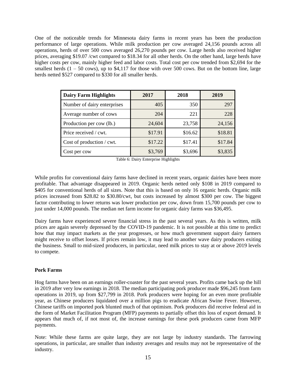One of the noticeable trends for Minnesota dairy farms in recent years has been the production performance of large operations. While milk production per cow averaged 24,156 pounds across all operations, herds of over 500 cows averaged 26,270 pounds per cow. Large herds also received higher prices, averaging \$19.07 /cwt compared to \$18.34 for all other herds. On the other hand, large herds have higher costs per cow, mainly higher feed and labor costs. Total cost per cow trended from \$2,694 for the smallest herds  $(1 - 50 \text{ cows})$ , up to \$4,117 for those with over 500 cows. But on the bottom line, large herds netted \$527 compared to \$330 for all smaller herds.

| <b>Dairy Farm Highlights</b> | 2017    | 2018    | 2019    |
|------------------------------|---------|---------|---------|
| Number of dairy enterprises  | 405     | 350     | 297     |
| Average number of cows       | 204     | 221     | 228     |
| Production per cow (lb.)     | 24,604  | 23,758  | 24,156  |
| Price received / cwt.        | \$17.91 | \$16.62 | \$18.81 |
| Cost of production / cwt.    | \$17.22 | \$17.41 | \$17.84 |
| Cost per cow                 | \$3,769 | \$3,696 | \$3,835 |

Table 6: Dairy Enterprise Highlights

While profits for conventional dairy farms have declined in recent years, organic dairies have been more profitable. That advantage disappeared in 2019. Organic herds netted only \$108 in 2019 compared to \$405 for conventional herds of all sizes. Note that this is based on only 16 organic herds. Organic milk prices increased from \$28.82 to \$30.80/cwt, but costs increased by almost \$300 per cow. The biggest factor contributing to lower returns was lower production per cow, down from 15,700 pounds per cow to just under 14,000 pounds. The median net farm income for organic dairy farms was \$36,495.

Dairy farms have experienced severe financial stress in the past several years. As this is written, milk prices are again severely depressed by the COVID-19 pandemic. It is not possible at this time to predict how that may impact markets as the year progresses, or how much government support dairy farmers might receive to offset losses. If prices remain low, it may lead to another wave dairy producers exiting the business. Small to mid-sized producers, in particular, need milk prices to stay at or above 2019 levels to compete.

#### **Pork Farms**

Hog farms have been on an earnings roller-coaster for the past several years. Profits came back up the hill in 2019 after very low earnings in 2018. The median participating pork producer made \$96,245 from farm operations in 2019, up from \$27,799 in 2018. Pork producers were hoping for an even more profitable year, as Chinese producers liquidated over a million pigs to eradicate African Swine Fever. However, Chinese tariffs on imported pork blunted much of that optimism. Pork producers did receive federal aid in the form of Market Facilitation Program (MFP) payments to partially offset this loss of export demand. It appears that much of, if not most of, the increase earnings for these pork producers came from MFP payments.

Note: While these farms are quite large, they are not large by industry standards. The farrowing operations, in particular, are smaller than industry averages and results may not be representative of the industry.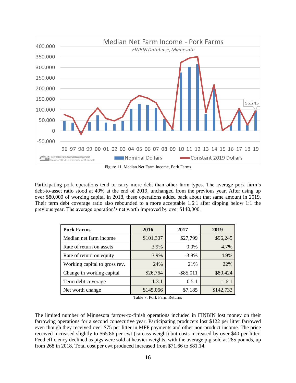

Figure 11, Median Net Farm Income, Pork Farms

Participating pork operations tend to carry more debt than other farm types. The average pork farm's debt-to-asset ratio stood at 49% at the end of 2019, unchanged from the previous year. After using up over \$80,000 of working capital in 2018, these operations added back about that same amount in 2019. Their term debt coverage ratio also rebounded to a more acceptable 1.6:1 after dipping below 1:1 the previous year. The average operation's net worth improved by over \$140,000.

| <b>Pork Farms</b>             | 2016      | 2017         | 2019      |
|-------------------------------|-----------|--------------|-----------|
| Median net farm income        | \$101,307 | \$27,799     | \$96,245  |
| Rate of return on assets      | 3.9%      | $0.0\%$      | 4.7%      |
| Rate of return on equity      | 3.9%      | $-3.8\%$     | 4.9%      |
| Working capital to gross rev. | 24%       | 21%          | 22%       |
| Change in working capital     | \$26,764  | $-$ \$85,011 | \$80,424  |
| Term debt coverage            | 1.3:1     | 0.5:1        | 1.6:1     |
| Net worth change              | \$145,066 | \$7,185      | \$142,733 |

Table 7: Pork Farm Returns

The limited number of Minnesota farrow-to-finish operations included in FINBIN lost money on their farrowing operations for a second consecutive year. Participating producers lost \$122 per litter farrowed even though they received over \$75 per litter in MFP payments and other non-product income. The price received increased slightly to \$65.86 per cwt (carcass weight) but costs increased by over \$40 per litter. Feed efficiency declined as pigs were sold at heavier weights, with the average pig sold at 285 pounds, up from 268 in 2018. Total cost per cwt produced increased from \$71.66 to \$81.14.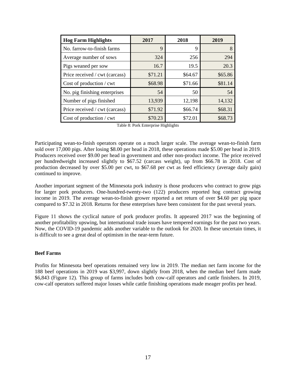| <b>Hog Farm Highlights</b>     | 2017    | 2018    | 2019    |
|--------------------------------|---------|---------|---------|
| No. farrow-to-finish farms     | 9       | 9       | 8       |
| Average number of sows         | 324     | 256     | 294     |
| Pigs weaned per sow            | 16.7    | 19.5    | 20.3    |
| Price received / cwt (carcass) | \$71.21 | \$64.67 | \$65.86 |
| Cost of production / cwt       | \$68.98 | \$71.66 | \$81.14 |
| No. pig finishing enterprises  | 54      | 50      | 54      |
| Number of pigs finished        | 13,939  | 12,198  | 14,132  |
| Price received / cwt (carcass) | \$71.92 | \$66.74 | \$68.31 |
| Cost of production / cwt       | \$70.23 | \$72.01 | \$68.73 |

Table 8: Pork Enterprise Highlights

Participating wean-to-finish operators operate on a much larger scale. The average wean-to-finish farm sold over 17,000 pigs. After losing \$8.00 per head in 2018, these operations made \$5.00 per head in 2019. Producers received over \$9.00 per head in government and other non-product income. The price received per hundredweight increased slightly to \$67.52 (carcass weight), up from \$66.78 in 2018. Cost of production decreased by over \$5.00 per cwt, to \$67.68 per cwt as feed efficiency (average daily gain) continued to improve.

Another important segment of the Minnesota pork industry is those producers who contract to grow pigs for larger pork producers. One-hundred-twenty-two (122) producers reported hog contract growing income in 2019. The average wean-to-finish grower reported a net return of over \$4.60 per pig space compared to \$7.32 in 2018. Returns for these enterprises have been consistent for the past several years.

Figure 11 shows the cyclical nature of pork producer profits. It appeared 2017 was the beginning of another profitability upswing, but international trade issues have tempered earnings for the past two years. Now, the COVID-19 pandemic adds another variable to the outlook for 2020. In these uncertain times, it is difficult to see a great deal of optimism in the near-term future.

#### **Beef Farms**

Profits for Minnesota beef operations remained very low in 2019. The median net farm income for the 188 beef operations in 2019 was \$3,997, down slightly from 2018, when the median beef farm made \$6,843 (Figure 12). This group of farms includes both cow-calf operators and cattle finishers. In 2019, cow-calf operators suffered major losses while cattle finishing operations made meager profits per head.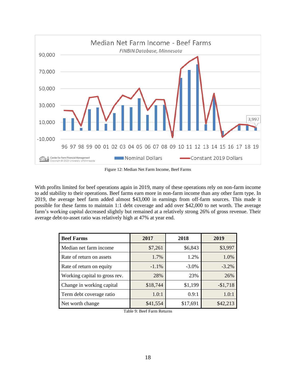

Figure 12: Median Net Farm Income, Beef Farms

With profits limited for beef operations again in 2019, many of these operations rely on non-farm income to add stability to their operations. Beef farms earn more in non-farm income than any other farm type. In 2019, the average beef farm added almost \$43,000 in earnings from off-farm sources. This made it possible for these farms to maintain 1:1 debt coverage and add over \$42,000 to net worth. The average farm's working capital decreased slightly but remained at a relatively strong 26% of gross revenue. Their average debt-to-asset ratio was relatively high at 47% at year end.

| <b>Beef Farms</b>             | 2017     | 2018     | 2019      |
|-------------------------------|----------|----------|-----------|
| Median net farm income        | \$7,261  | \$6,843  | \$3,997   |
| Rate of return on assets      | 1.7%     | 1.2%     | 1.0%      |
| Rate of return on equity      | $-1.1%$  | $-3.0\%$ | $-3.2\%$  |
| Working capital to gross rev. | 28%      | 23%      | 26%       |
| Change in working capital     | \$18,744 | \$1,199  | $-$1,718$ |
| Term debt coverage ratio      | 1.0:1    | 0.9:1    | 1.0:1     |
| Net worth change              | \$41,554 | \$17,691 | \$42,213  |

Table 9: Beef Farm Returns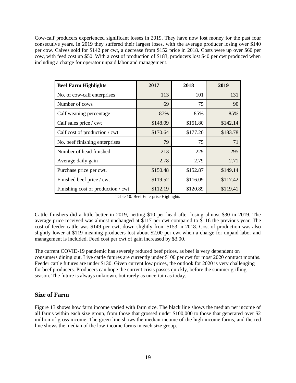Cow-calf producers experienced significant losses in 2019. They have now lost money for the past four consecutive years. In 2019 they suffered their largest loses, with the average producer losing over \$140 per cow. Calves sold for \$142 per cwt, a decrease from \$152 price in 2018. Costs were up over \$60 per cow, with feed cost up \$50. With a cost of production of \$183, producers lost \$40 per cwt produced when including a charge for operator unpaid labor and management.

| <b>Beef Farm Highlights</b>        | 2017     | 2018     | 2019     |
|------------------------------------|----------|----------|----------|
| No. of cow-calf enterprises        | 113      | 101      | 131      |
| Number of cows                     | 69       | 75       | 90       |
| Calf weaning percentage            | 87%      | 85%      | 85%      |
| Calf sales price / cwt             | \$148.09 | \$151.80 | \$142.14 |
| Calf cost of production / cwt      | \$170.64 | \$177.20 | \$183.78 |
| No. beef finishing enterprises     | 79       | 75       | 71       |
| Number of head finished            | 213      | 229      | 295      |
| Average daily gain                 | 2.78     | 2.79     | 2.71     |
| Purchase price per cwt.            | \$150.48 | \$152.87 | \$149.14 |
| Finished beef price / cwt          | \$119.52 | \$116.09 | \$117.42 |
| Finishing cost of production / cwt | \$112.19 | \$120.89 | \$119.41 |

Table 10: Beef Enterprise Highlights

Cattle finishers did a little better in 2019, netting \$10 per head after losing almost \$30 in 2019. The average price received was almost unchanged at \$117 per cwt compared to \$116 the previous year. The cost of feeder cattle was \$149 per cwt, down slightly from \$153 in 2018. Cost of production was also slightly lower at \$119 meaning producers lost about \$2.00 per cwt when a charge for unpaid labor and management is included. Feed cost per cwt of gain increased by \$3.00.

The current COVID-19 pandemic has severely reduced beef prices, as beef is very dependent on consumers dining out. Live cattle futures are currently under \$100 per cwt for most 2020 contract months. Feeder cattle futures are under \$130. Given current low prices, the outlook for 2020 is very challenging for beef producers. Producers can hope the current crisis passes quickly, before the summer grilling season. The future is always unknown, but rarely as uncertain as today.

# **Size of Farm**

Figure 13 shows how farm income varied with farm size. The black line shows the median net income of all farms within each size group, from those that grossed under \$100,000 to those that generated over \$2 million of gross income. The green line shows the median income of the high-income farms, and the red line shows the median of the low-income farms in each size group.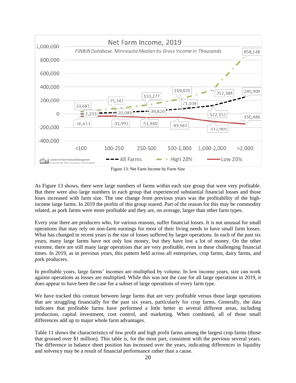

Figure 13: Net Farm Income by Farm Size

As Figure 13 shows, there were large numbers of farms within each size group that were very profitable. But there were also large numbers in each group that experienced substantial financial losses and those loses increased with farm size. The one change from previous years was the profitability of the highincome large farms. In 2019 the profits of this group soared. Part of the reason for this may be commodity related, as pork farms were more profitable and they are, on average, larger than other farm types.

Every year there are producers who, for various reasons, suffer financial losses. It is not unusual for small operations that may rely on non-farm earnings for most of their living needs to have small farm losses. What has changed in recent years is the size of losses suffered by larger operations. In each of the past six years, many large farms have not only lost money, but they have lost a lot of money. On the other extreme, there are still many large operations that are very profitable, even in these challenging financial times. In 2019, as in previous years, this pattern held across all enterprises, crop farms, dairy farms, and pork producers.

In profitable years, large farms' incomes are multiplied by volume. In low income years, size can work against operations as losses are multiplied. While this was not the case for all large operations in 2019, it does appear to have been the case for a subset of large operations of every farm type.

We have tracked this contrast between large farms that are very profitable versus those large operations that are struggling financially for the past six years, particularly for crop farms. Generally, the data indicates that profitable farms have performed a little better in several different areas, including production, capital investment, cost control, and marketing. When combined, all of those small differences add up to major whole farm advantages.

Table 11 shows the characteristics of low profit and high profit farms among the largest crop farms (those that grossed over \$1 million). This table is, for the most part, consistent with the previous several years. The difference in balance sheet position has increased over the years, indicating differences in liquidity and solvency may be a result of financial performance rather than a cause.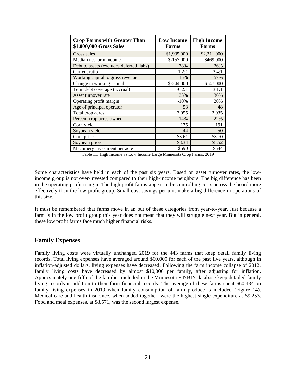| <b>Crop Farms with Greater Than</b><br>\$1,000,000 Gross Sales | <b>Low Income</b><br><b>Farms</b> | <b>High Income</b><br><b>Farms</b> |
|----------------------------------------------------------------|-----------------------------------|------------------------------------|
| Gross sales                                                    | \$1,935,000                       | \$2,211,000                        |
| Median net farm income                                         | $$-153,000$                       | \$469,000                          |
| Debt to assets (excludes deferred liabs)                       | 38%                               | 26%                                |
| Current ratio                                                  | 1.2:1                             | 2.4:1                              |
| Working capital to gross revenue                               | 15%                               | 57%                                |
| Change in working capital                                      | $$-244,000$                       | \$147,000                          |
| Term debt coverage (accrual)                                   | $-0.2:1$                          | 3.1:1                              |
| Asset turnover rate                                            | 33%                               | 36%                                |
| Operating profit margin                                        | $-10%$                            | 20%                                |
| Age of principal operator                                      | 53                                | 48                                 |
| Total crop acres                                               | 3,055                             | 2,935                              |
| Percent crop acres owned                                       | 14%                               | 22%                                |
| Corn yield                                                     | 175                               | 191                                |
| Soybean yield                                                  | 44                                | 50                                 |
| Corn price                                                     | \$3.61                            | \$3.70                             |
| Soybean price                                                  | \$8.34                            | \$8.52                             |
| Machinery investment per acre                                  | \$590                             | \$544                              |

Table 11: High Income vs Low Income Large Minnesota Crop Farms, 2019

Some characteristics have held in each of the past six years. Based on asset turnover rates, the lowincome group is not over-invested compared to their high-income neighbors. The big difference has been in the operating profit margin. The high profit farms appear to be controlling costs across the board more effectively than the low profit group. Small cost savings per unit make a big difference in operations of this size.

It must be remembered that farms move in an out of these categories from year-to-year. Just because a farm is in the low profit group this year does not mean that they will struggle next year. But in general, these low profit farms face much higher financial risks.

#### **Family Expenses**

Family living costs were virtually unchanged 2019 for the 443 farms that keep detail family living records. Total living expenses have averaged around \$60,000 for each of the past five years, although in inflation-adjusted dollars, living expenses have decreased. Following the farm income collapse of 2012, family living costs have decreased by almost \$10,000 per family, after adjusting for inflation. Approximately one-fifth of the families included in the Minnesota FINBIN database keep detailed family living records in addition to their farm financial records. The average of these farms spent \$60,434 on family living expenses in 2019 when family consumption of farm produce is included (Figure 14). Medical care and health insurance, when added together, were the highest single expenditure at \$9,253. Food and meal expenses, at \$8,571, was the second largest expense.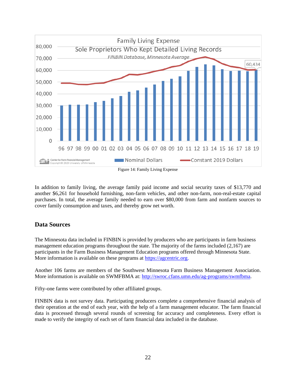

In addition to family living, the average family paid income and social security taxes of \$13,770 and another \$6,261 for household furnishing, non-farm vehicles, and other non-farm, non-real-estate capital purchases. In total, the average family needed to earn over \$80,000 from farm and nonfarm sources to cover family consumption and taxes, and thereby grow net worth.

# **Data Sources**

The Minnesota data included in FINBIN is provided by producers who are participants in farm business management education programs throughout the state. The majority of the farms included (2,167) are participants in the Farm Business Management Education programs offered through Minnesota State. More information is available on these programs at [https://agcentric.org.](https://agcentric.org/)

Another 106 farms are members of the Southwest Minnesota Farm Business Management Association. More information is available on SWMFBMA at: [http://swroc.cfans.umn.edu/ag-programs/swmfbma.](http://swroc.cfans.umn.edu/ag-programs/swmfbma)

Fifty-one farms were contributed by other affiliated groups.

FINBIN data is not survey data. Participating producers complete a comprehensive financial analysis of their operation at the end of each year, with the help of a farm management educator. The farm financial data is processed through several rounds of screening for accuracy and completeness. Every effort is made to verify the integrity of each set of farm financial data included in the database.